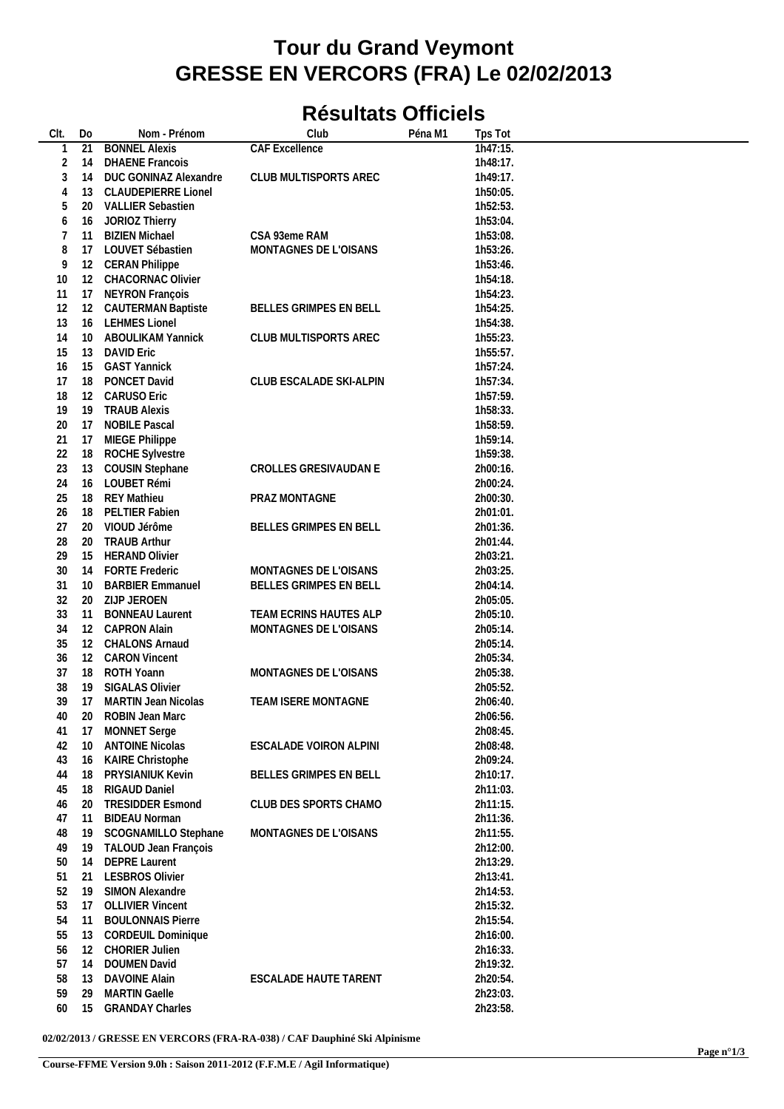## **Tour du Grand Veymont GRESSE EN VERCORS (FRA) Le 02/02/2013**

## **Résultats Officiels**

| CIt.           | Do                | Nom - Prénom               | Club                          | Péna M1 | Tps Tot  |  |
|----------------|-------------------|----------------------------|-------------------------------|---------|----------|--|
| 1              | 21                | <b>BONNEL Alexis</b>       | <b>CAF Excellence</b>         |         | 1h47:15. |  |
| $\overline{2}$ | 14                | <b>DHAENE Francois</b>     |                               |         | 1h48:17. |  |
| 3              | 14                | DUC GONINAZ Alexandre      | CLUB MULTISPORTS AREC         |         | 1h49:17. |  |
| 4              | 13                | <b>CLAUDEPIERRE Lionel</b> |                               |         | 1h50:05. |  |
| 5              | 20                | <b>VALLIER Sebastien</b>   |                               |         | 1h52:53. |  |
| 6              | 16                | JORIOZ Thierry             |                               |         | 1h53:04. |  |
|                | 11                |                            | CSA 93eme RAM                 |         |          |  |
| 7              |                   | <b>BIZIEN Michael</b>      |                               |         | 1h53:08. |  |
| 8              | 17                | LOUVET Sébastien           | MONTAGNES DE L'OISANS         |         | 1h53:26. |  |
| 9              | 12                | <b>CERAN Philippe</b>      |                               |         | 1h53:46. |  |
| 10             | 12                | CHACORNAC Olivier          |                               |         | 1h54:18. |  |
| 11             | 17                | NEYRON François            |                               |         | 1h54:23. |  |
| 12             | 12                | <b>CAUTERMAN Baptiste</b>  | BELLES GRIMPES EN BELL        |         | 1h54:25. |  |
| 13             | 16                | <b>LEHMES Lionel</b>       |                               |         | 1h54:38. |  |
| 14             | 10                | ABOULIKAM Yannick          | CLUB MULTISPORTS AREC         |         | 1h55:23. |  |
| 15             | 13                | <b>DAVID Eric</b>          |                               |         | 1h55:57. |  |
| 16             | 15                | <b>GAST Yannick</b>        |                               |         | 1h57:24. |  |
| 17             | 18                | PONCET David               | CLUB ESCALADE SKI-ALPIN       |         | 1h57:34. |  |
| 18             | 12                | <b>CARUSO Eric</b>         |                               |         | 1h57:59. |  |
|                |                   |                            |                               |         |          |  |
| 19             | 19                | <b>TRAUB Alexis</b>        |                               |         | 1h58:33. |  |
| 20             | 17                | <b>NOBILE Pascal</b>       |                               |         | 1h58:59. |  |
| 21             | 17                | MIEGE Philippe             |                               |         | 1h59:14. |  |
| 22             | 18                | <b>ROCHE Sylvestre</b>     |                               |         | 1h59:38. |  |
| 23             | 13                | <b>COUSIN Stephane</b>     | CROLLES GRESIVAUDAN E         |         | 2h00:16. |  |
| 24             | 16                | LOUBET Rémi                |                               |         | 2h00:24. |  |
| 25             | 18                | <b>REY Mathieu</b>         | PRAZ MONTAGNE                 |         | 2h00:30. |  |
| 26             | 18                | PELTIER Fabien             |                               |         | 2h01:01. |  |
| 27             | 20                | VIOUD Jérôme               | BELLES GRIMPES EN BELL        |         | 2h01:36. |  |
| 28             | 20                | <b>TRAUB Arthur</b>        |                               |         | 2h01:44. |  |
| 29             | 15                | <b>HERAND Olivier</b>      |                               |         | 2h03:21. |  |
| 30             |                   |                            |                               |         |          |  |
|                | 14                | <b>FORTE Frederic</b>      | MONTAGNES DE L'OISANS         |         | 2h03:25. |  |
| 31             | 10                | <b>BARBIER Emmanuel</b>    | BELLES GRIMPES EN BELL        |         | 2h04:14. |  |
| 32             | 20                | ZIJP JEROEN                |                               |         | 2h05:05. |  |
| 33             | 11                | <b>BONNEAU Laurent</b>     | TEAM ECRINS HAUTES ALP        |         | 2h05:10. |  |
| 34             | $12 \overline{ }$ | <b>CAPRON Alain</b>        | MONTAGNES DE L'OISANS         |         | 2h05:14. |  |
| 35             | 12                | <b>CHALONS Arnaud</b>      |                               |         | 2h05:14. |  |
| 36             | 12                | <b>CARON Vincent</b>       |                               |         | 2h05:34. |  |
| 37             | 18                | ROTH Yoann                 | MONTAGNES DE L'OISANS         |         | 2h05:38. |  |
| 38             | 19                | <b>SIGALAS Olivier</b>     |                               |         | 2h05:52. |  |
| 39             | 17                | <b>MARTIN Jean Nicolas</b> | <b>TEAM ISERE MONTAGNE</b>    |         | 2h06:40. |  |
| $40\,$         | $20\,$            | ROBIN Jean Marc            |                               |         | 2h06:56. |  |
|                |                   |                            |                               |         |          |  |
| 41             | 17                | <b>MONNET</b> Serge        |                               |         | 2h08:45. |  |
| 42             | 10                | <b>ANTOINE Nicolas</b>     | <b>ESCALADE VOIRON ALPINI</b> |         | 2h08:48. |  |
| 43             | 16                | KAIRE Christophe           |                               |         | 2h09:24. |  |
| 44             | 18                | PRYSIANIUK Kevin           | BELLES GRIMPES EN BELL        |         | 2h10:17. |  |
| 45             | 18                | RIGAUD Daniel              |                               |         | 2h11:03. |  |
| 46             | 20                | <b>TRESIDDER Esmond</b>    | CLUB DES SPORTS CHAMO         |         | 2h11:15. |  |
| 47             | 11                | <b>BIDEAU Norman</b>       |                               |         | 2h11:36. |  |
| 48             | 19                | SCOGNAMILLO Stephane       | MONTAGNES DE L'OISANS         |         | 2h11:55. |  |
| 49             | 19                | TALOUD Jean François       |                               |         | 2h12:00. |  |
| 50             | 14                | <b>DEPRE Laurent</b>       |                               |         | 2h13:29. |  |
|                |                   |                            |                               |         |          |  |
| 51             | 21                | <b>LESBROS Olivier</b>     |                               |         | 2h13:41. |  |
| 52             | 19                | SIMON Alexandre            |                               |         | 2h14:53. |  |
| 53             | 17                | <b>OLLIVIER Vincent</b>    |                               |         | 2h15:32. |  |
| 54             | 11                | <b>BOULONNAIS Pierre</b>   |                               |         | 2h15:54. |  |
| 55             | 13                | <b>CORDEUIL Dominique</b>  |                               |         | 2h16:00. |  |
| 56             | 12                | <b>CHORIER Julien</b>      |                               |         | 2h16:33. |  |
| 57             | 14                | DOUMEN David               |                               |         | 2h19:32. |  |
| 58             | 13                | <b>DAVOINE Alain</b>       | <b>ESCALADE HAUTE TARENT</b>  |         | 2h20:54. |  |
| 59             | 29                | <b>MARTIN Gaelle</b>       |                               |         | 2h23:03. |  |
| 60             | 15                | <b>GRANDAY Charles</b>     |                               |         | 2h23:58. |  |
|                |                   |                            |                               |         |          |  |

**02/02/2013 / GRESSE EN VERCORS (FRA-RA-038) / CAF Dauphiné Ski Alpinisme**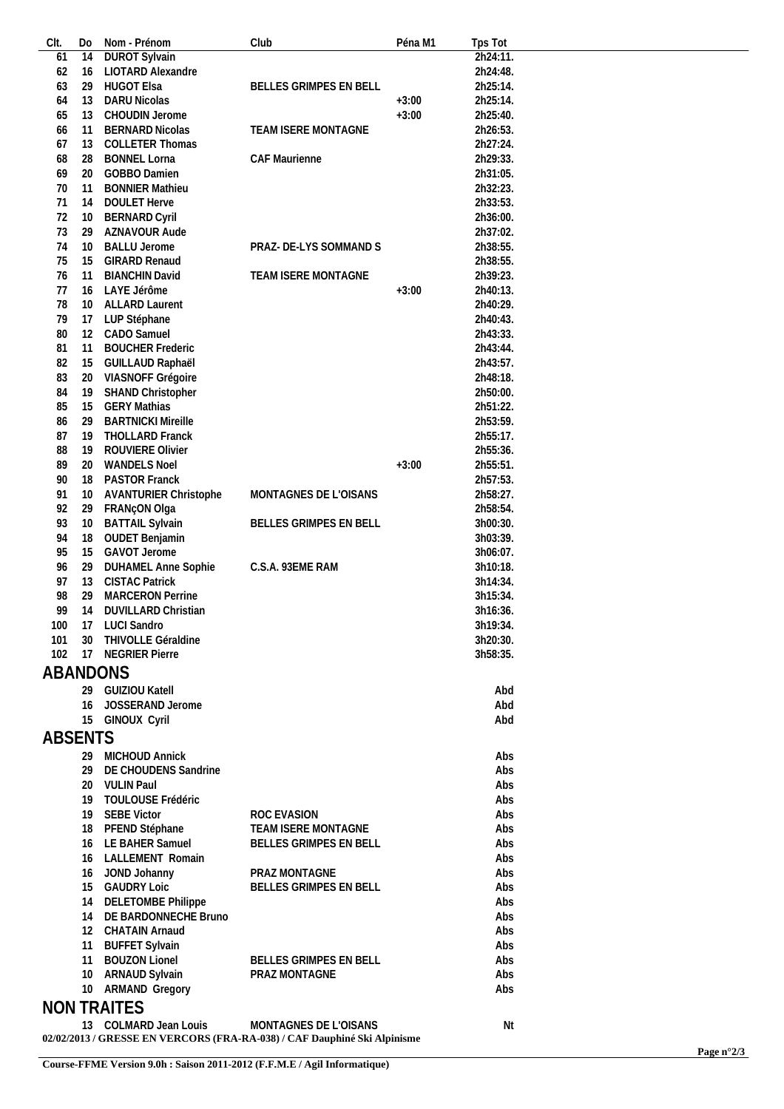| CIt.           | Do | Nom - Prénom                 | Club                                                                     | Péna M1 | Tps Tot  |  |
|----------------|----|------------------------------|--------------------------------------------------------------------------|---------|----------|--|
| 61             | 14 | <b>DUROT Sylvain</b>         |                                                                          |         | 2h24:11. |  |
| 62             | 16 | LIOTARD Alexandre            |                                                                          |         | 2h24:48. |  |
| 63             | 29 | <b>HUGOT Elsa</b>            | BELLES GRIMPES EN BELL                                                   |         | 2h25:14. |  |
| 64             | 13 | DARU Nicolas                 |                                                                          | $+3:00$ | 2h25:14. |  |
|                |    |                              |                                                                          |         |          |  |
| 65             | 13 | CHOUDIN Jerome               |                                                                          | $+3:00$ | 2h25:40. |  |
| 66             | 11 | <b>BERNARD Nicolas</b>       | TEAM ISERE MONTAGNE                                                      |         | 2h26:53. |  |
| 67             | 13 | <b>COLLETER Thomas</b>       |                                                                          |         | 2h27:24. |  |
| 68             | 28 | <b>BONNEL Lorna</b>          | CAF Maurienne                                                            |         | 2h29:33. |  |
| 69             | 20 | GOBBO Damien                 |                                                                          |         | 2h31:05. |  |
| 70             | 11 | <b>BONNIER Mathieu</b>       |                                                                          |         | 2h32:23. |  |
| 71             | 14 | <b>DOULET Herve</b>          |                                                                          |         | 2h33:53. |  |
| 72             |    |                              |                                                                          |         | 2h36:00. |  |
|                | 10 | <b>BERNARD Cyril</b>         |                                                                          |         |          |  |
| 73             | 29 | AZNAVOUR Aude                |                                                                          |         | 2h37:02. |  |
| 74             | 10 | <b>BALLU Jerome</b>          | PRAZ- DE-LYS SOMMAND S                                                   |         | 2h38:55. |  |
| 75             | 15 | <b>GIRARD Renaud</b>         |                                                                          |         | 2h38:55. |  |
| 76             | 11 | <b>BIANCHIN David</b>        | TEAM ISERE MONTAGNE                                                      |         | 2h39:23. |  |
| 77             | 16 | LAYE Jérôme                  |                                                                          | $+3:00$ | 2h40:13. |  |
| 78             | 10 | <b>ALLARD Laurent</b>        |                                                                          |         | 2h40:29. |  |
| 79             | 17 |                              |                                                                          |         | 2h40:43. |  |
|                |    | LUP Stéphane                 |                                                                          |         |          |  |
| 80             | 12 | CADO Samuel                  |                                                                          |         | 2h43:33. |  |
| 81             | 11 | <b>BOUCHER Frederic</b>      |                                                                          |         | 2h43:44. |  |
| 82             | 15 | GUILLAUD Raphaël             |                                                                          |         | 2h43:57. |  |
| 83             | 20 | VIASNOFF Grégoire            |                                                                          |         | 2h48:18. |  |
| 84             | 19 | SHAND Christopher            |                                                                          |         | 2h50:00. |  |
| 85             | 15 | <b>GERY Mathias</b>          |                                                                          |         | 2h51:22. |  |
| 86             | 29 | <b>BARTNICKI Mireille</b>    |                                                                          |         | 2h53:59. |  |
|                |    |                              |                                                                          |         |          |  |
| 87             | 19 | THOLLARD Franck              |                                                                          |         | 2h55:17. |  |
| 88             | 19 | ROUVIERE Olivier             |                                                                          |         | 2h55:36. |  |
| 89             | 20 | <b>WANDELS Noel</b>          |                                                                          | $+3:00$ | 2h55:51. |  |
| 90             | 18 | PASTOR Franck                |                                                                          |         | 2h57:53. |  |
| 91             | 10 | <b>AVANTURIER Christophe</b> | MONTAGNES DE L'OISANS                                                    |         | 2h58:27. |  |
| 92             | 29 | FRANçON Olga                 |                                                                          |         | 2h58:54. |  |
| 93             | 10 | <b>BATTAIL Sylvain</b>       | BELLES GRIMPES EN BELL                                                   |         | 3h00:30. |  |
| 94             | 18 | OUDET Benjamin               |                                                                          |         | 3h03:39. |  |
| 95             | 15 | GAVOT Jerome                 |                                                                          |         | 3h06:07. |  |
| 96             | 29 | <b>DUHAMEL Anne Sophie</b>   |                                                                          |         |          |  |
|                |    |                              | C.S.A. 93EME RAM                                                         |         | 3h10:18. |  |
| 97             | 13 | <b>CISTAC Patrick</b>        |                                                                          |         | 3h14:34. |  |
| 98             | 29 | <b>MARCERON Perrine</b>      |                                                                          |         | 3h15:34. |  |
| 99             | 14 | DUVILLARD Christian          |                                                                          |         | 3h16:36. |  |
| 100            |    | 17 LUCI Sandro               |                                                                          |         | 3h19:34  |  |
| 101            |    | 30 THIVOLLE Géraldine        |                                                                          |         | 3h20:30. |  |
| 102            |    | 17 NEGRIER Pierre            |                                                                          |         | 3h58:35. |  |
| ABANDONS       |    |                              |                                                                          |         |          |  |
|                |    |                              |                                                                          |         |          |  |
|                |    | 29 GUIZIOU Katell            |                                                                          |         | Abd      |  |
|                | 16 | JOSSERAND Jerome             |                                                                          |         | Abd      |  |
|                |    | 15 GINOUX Cyril              |                                                                          |         | Abd      |  |
| <b>ABSENTS</b> |    |                              |                                                                          |         |          |  |
|                |    |                              |                                                                          |         |          |  |
|                |    | 29 MICHOUD Annick            |                                                                          |         | Abs      |  |
|                | 29 | DE CHOUDENS Sandrine         |                                                                          |         | Abs      |  |
|                |    | 20 VULIN Paul                |                                                                          |         | Abs      |  |
|                | 19 | TOULOUSE Frédéric            |                                                                          |         | Abs      |  |
|                | 19 | <b>SEBE Victor</b>           | ROC EVASION                                                              |         | Abs      |  |
|                | 18 | PFEND Stéphane               | TEAM ISERE MONTAGNE                                                      |         | Abs      |  |
|                |    |                              |                                                                          |         |          |  |
|                | 16 | LE BAHER Samuel              | BELLES GRIMPES EN BELL                                                   |         | Abs      |  |
|                | 16 | LALLEMENT Romain             |                                                                          |         | Abs      |  |
|                | 16 | JOND Johanny                 | PRAZ MONTAGNE                                                            |         | Abs      |  |
|                | 15 | <b>GAUDRY Loic</b>           | BELLES GRIMPES EN BELL                                                   |         | Abs      |  |
|                | 14 | DELETOMBE Philippe           |                                                                          |         | Abs      |  |
|                | 14 | DE BARDONNECHE Bruno         |                                                                          |         | Abs      |  |
|                | 12 | <b>CHATAIN Arnaud</b>        |                                                                          |         | Abs      |  |
|                | 11 | <b>BUFFET Sylvain</b>        |                                                                          |         | Abs      |  |
|                | 11 | <b>BOUZON Lionel</b>         | BELLES GRIMPES EN BELL                                                   |         | Abs      |  |
|                |    |                              |                                                                          |         | Abs      |  |
|                |    | 10 ARNAUD Sylvain            | PRAZ MONTAGNE                                                            |         |          |  |
|                |    | 10 ARMAND Gregory            |                                                                          |         | Abs      |  |
|                |    | <b>NON TRAITES</b>           |                                                                          |         |          |  |
|                |    | 13 COLMARD Jean Louis        | MONTAGNES DE L'OISANS                                                    |         | Nt       |  |
|                |    |                              | 02/02/2013 / GRESSE EN VERCORS (FRA-RA-038) / CAF Dauphiné Ski Alpinisme |         |          |  |